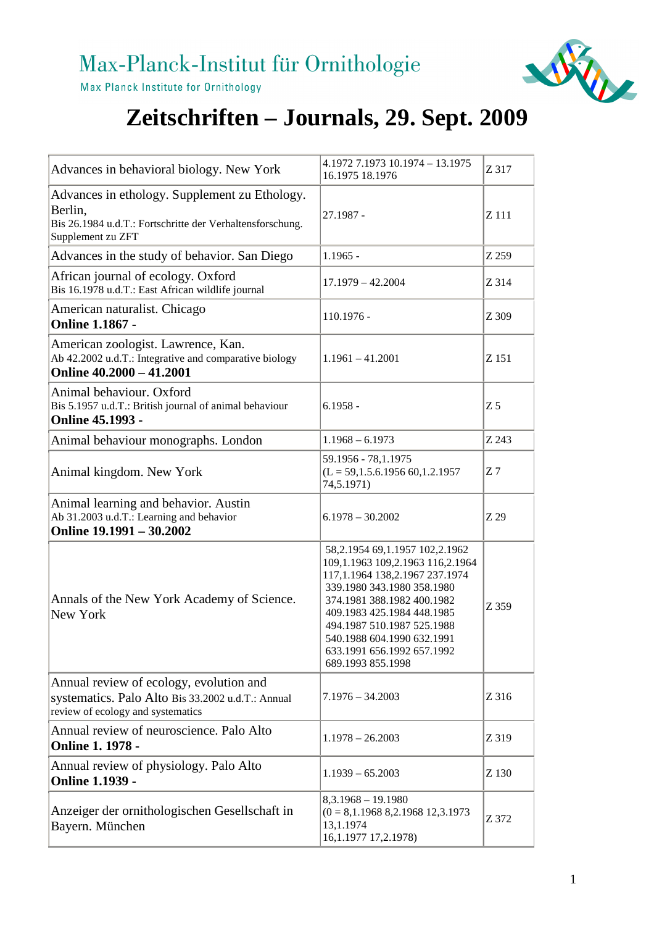Max Planck Institute for Ornithology



#### **Zeitschriften – Journals, 29. Sept. 2009**

| Advances in behavioral biology. New York                                                                                                   | 4.1972 7.1973 10.1974 - 13.1975<br>16.1975 18.1976                                                                                                                                                                                                                                                                 | Z 317          |
|--------------------------------------------------------------------------------------------------------------------------------------------|--------------------------------------------------------------------------------------------------------------------------------------------------------------------------------------------------------------------------------------------------------------------------------------------------------------------|----------------|
| Advances in ethology. Supplement zu Ethology.<br>Berlin,<br>Bis 26.1984 u.d.T.: Fortschritte der Verhaltensforschung.<br>Supplement zu ZFT | 27.1987 -                                                                                                                                                                                                                                                                                                          | Z 111          |
| Advances in the study of behavior. San Diego                                                                                               | $1.1965 -$                                                                                                                                                                                                                                                                                                         | Z 259          |
| African journal of ecology. Oxford<br>Bis 16.1978 u.d.T.: East African wildlife journal                                                    | $17.1979 - 42.2004$                                                                                                                                                                                                                                                                                                | Z 314          |
| American naturalist. Chicago<br><b>Online 1.1867 -</b>                                                                                     | $110.1976 -$                                                                                                                                                                                                                                                                                                       | Z 309          |
| American zoologist. Lawrence, Kan.<br>Ab 42.2002 u.d.T.: Integrative and comparative biology<br>Online 40.2000 - 41.2001                   | $1.1961 - 41.2001$                                                                                                                                                                                                                                                                                                 | Z 151          |
| Animal behaviour. Oxford<br>Bis 5.1957 u.d.T.: British journal of animal behaviour<br><b>Online 45.1993 -</b>                              | $6.1958 -$                                                                                                                                                                                                                                                                                                         | Z <sub>5</sub> |
| Animal behaviour monographs. London                                                                                                        | $1.1968 - 6.1973$                                                                                                                                                                                                                                                                                                  | Z 243          |
| Animal kingdom. New York                                                                                                                   | 59.1956 - 78,1.1975<br>$(L = 59, 1.5.6.1956 60, 1.2.1957)$<br>74,5.1971)                                                                                                                                                                                                                                           | Z <sub>7</sub> |
| Animal learning and behavior. Austin<br>Ab 31.2003 u.d.T.: Learning and behavior<br>Online 19.1991 - 30.2002                               | $6.1978 - 30.2002$                                                                                                                                                                                                                                                                                                 | Z 29           |
| Annals of the New York Academy of Science.<br>New York                                                                                     | 58, 2.1954 69, 1.1957 102, 2.1962<br>109,1.1963 109,2.1963 116,2.1964<br>117, 1.1964 138, 2.1967 237.1974<br>339.1980 343.1980 358.1980<br>374.1981 388.1982 400.1982<br>409.1983 425.1984 448.1985<br>494.1987 510.1987 525.1988<br>540.1988 604.1990 632.1991<br>633.1991 656.1992 657.1992<br>689.1993 855.1998 | Z 359          |
| Annual review of ecology, evolution and<br>systematics. Palo Alto Bis 33.2002 u.d.T.: Annual<br>review of ecology and systematics          | $7.1976 - 34.2003$                                                                                                                                                                                                                                                                                                 | Z 316          |
| Annual review of neuroscience. Palo Alto<br><b>Online 1. 1978 -</b>                                                                        | $1.1978 - 26.2003$                                                                                                                                                                                                                                                                                                 | Z 319          |
| Annual review of physiology. Palo Alto<br><b>Online 1.1939 -</b>                                                                           | $1.1939 - 65.2003$                                                                                                                                                                                                                                                                                                 | Z 130          |
| Anzeiger der ornithologischen Gesellschaft in<br>Bayern. München                                                                           | $8,3.1968 - 19.1980$<br>$(0 = 8, 1.19688, 2.196812, 3.1973)$<br>13,1.1974<br>16, 1.1977 17, 2.1978)                                                                                                                                                                                                                | Z 372          |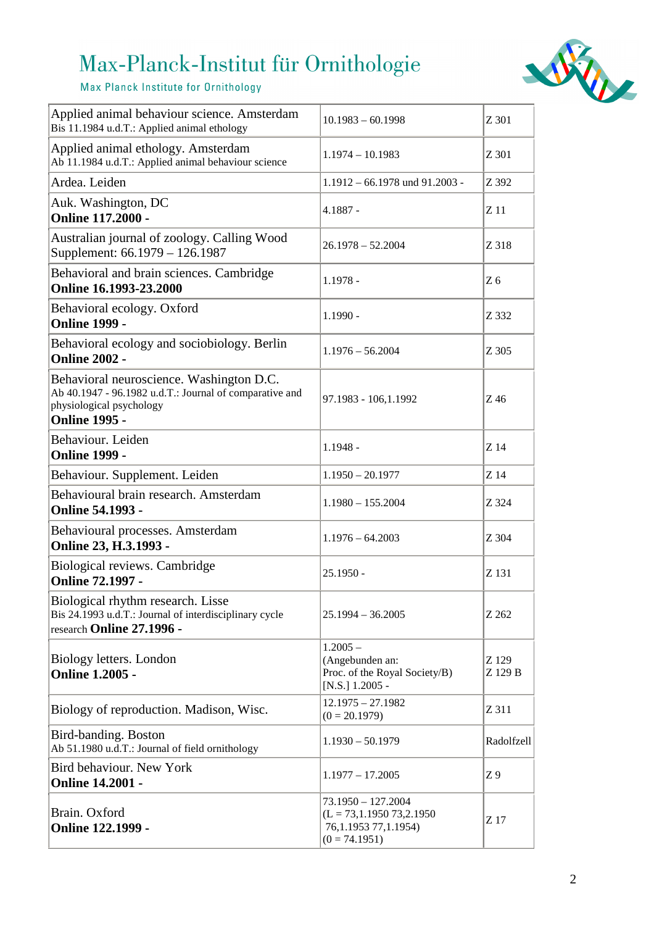WW

| Applied animal behaviour science. Amsterdam<br>Bis 11.1984 u.d.T.: Applied animal ethology                                                              | $10.1983 - 60.1998$                                                                             | Z 301            |
|---------------------------------------------------------------------------------------------------------------------------------------------------------|-------------------------------------------------------------------------------------------------|------------------|
| Applied animal ethology. Amsterdam<br>Ab 11.1984 u.d.T.: Applied animal behaviour science                                                               | $1.1974 - 10.1983$                                                                              | Z 301            |
| Ardea. Leiden                                                                                                                                           | $1.1912 - 66.1978$ und $91.2003 -$                                                              | Z 392            |
| Auk. Washington, DC<br><b>Online 117.2000 -</b>                                                                                                         | 4.1887 -                                                                                        | Z 11             |
| Australian journal of zoology. Calling Wood<br>Supplement: 66.1979 - 126.1987                                                                           | $26.1978 - 52.2004$                                                                             | Z 318            |
| Behavioral and brain sciences. Cambridge<br>Online 16.1993-23.2000                                                                                      | $1.1978 -$                                                                                      | Z <sub>6</sub>   |
| Behavioral ecology. Oxford<br><b>Online 1999 -</b>                                                                                                      | $1.1990 -$                                                                                      | Z 332            |
| Behavioral ecology and sociobiology. Berlin<br><b>Online 2002 -</b>                                                                                     | $1.1976 - 56.2004$                                                                              | Z 305            |
| Behavioral neuroscience. Washington D.C.<br>Ab 40.1947 - 96.1982 u.d.T.: Journal of comparative and<br>physiological psychology<br><b>Online 1995 -</b> | 97.1983 - 106,1.1992                                                                            | Z 46             |
| Behaviour. Leiden<br><b>Online 1999 -</b>                                                                                                               | $1.1948 -$                                                                                      | Z 14             |
| Behaviour. Supplement. Leiden                                                                                                                           | $1.1950 - 20.1977$                                                                              | Z 14             |
| Behavioural brain research. Amsterdam<br><b>Online 54.1993 -</b>                                                                                        | $1.1980 - 155.2004$                                                                             | Z 324            |
| Behavioural processes. Amsterdam<br>Online 23, H.3.1993 -                                                                                               | $1.1976 - 64.2003$                                                                              | Z 304            |
| Biological reviews. Cambridge<br><b>Online 72.1997 -</b>                                                                                                | $25.1950 -$                                                                                     | Z 131            |
| Biological rhythm research. Lisse<br>Bis 24.1993 u.d.T.: Journal of interdisciplinary cycle<br>research Online 27.1996 -                                | $25.1994 - 36.2005$                                                                             | Z 262            |
| <b>Biology letters.</b> London<br><b>Online 1.2005 -</b>                                                                                                | $1.2005 -$<br>(Angebunden an:<br>Proc. of the Royal Society/B)<br>[N.S.] $1.2005 -$             | Z 129<br>Z 129 B |
| Biology of reproduction. Madison, Wisc.                                                                                                                 | $12.1975 - 27.1982$<br>$(0 = 20.1979)$                                                          | Z 311            |
| Bird-banding. Boston<br>Ab 51.1980 u.d.T.: Journal of field ornithology                                                                                 | $1.1930 - 50.1979$                                                                              | Radolfzell       |
| Bird behaviour. New York<br><b>Online 14.2001 -</b>                                                                                                     | $1.1977 - 17.2005$                                                                              | Z9               |
| Brain. Oxford<br><b>Online 122.1999 -</b>                                                                                                               | 73.1950 - 127.2004<br>$(L = 73, 1.195073, 2.1950)$<br>76, 1.1953 77, 1.1954)<br>$(0 = 74.1951)$ | Z 17             |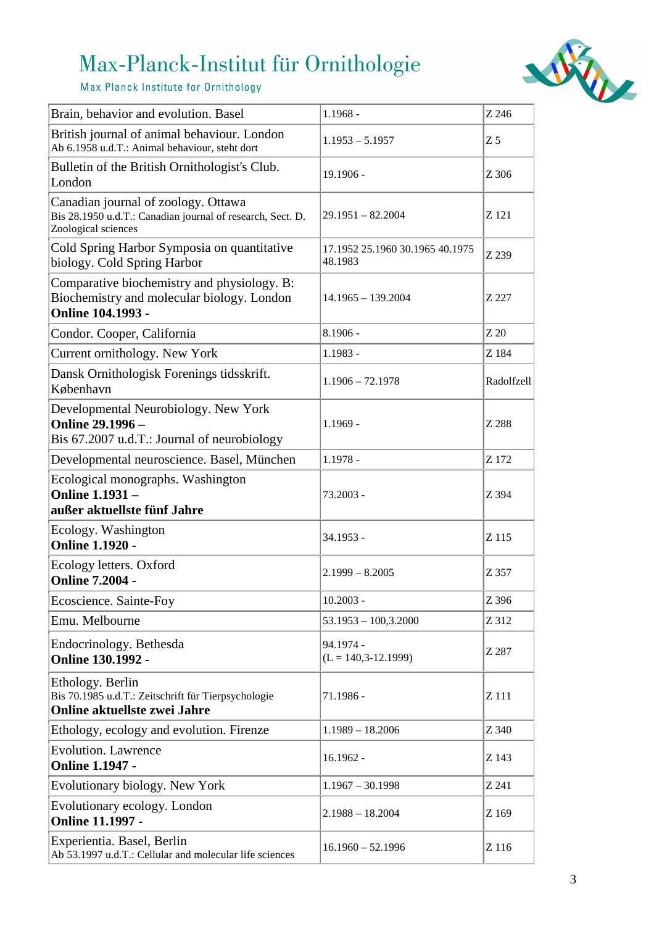

| Brain, behavior and evolution. Basel                                                                                     | $1.1968 -$                                 | Z 246          |
|--------------------------------------------------------------------------------------------------------------------------|--------------------------------------------|----------------|
| British journal of animal behaviour. London<br>Ab 6.1958 u.d.T.: Animal behaviour, steht dort                            | $1.1953 - 5.1957$                          | Z <sub>5</sub> |
| Bulletin of the British Ornithologist's Club.<br>London                                                                  | 19.1906 -                                  | Z 306          |
| Canadian journal of zoology. Ottawa<br>Bis 28.1950 u.d.T.: Canadian journal of research, Sect. D.<br>Zoological sciences | $29.1951 - 82.2004$                        | Z 121          |
| Cold Spring Harbor Symposia on quantitative<br>biology. Cold Spring Harbor                                               | 17.1952 25.1960 30.1965 40.1975<br>48.1983 | Z 239          |
| Comparative biochemistry and physiology. B:<br>Biochemistry and molecular biology. London<br><b>Online 104.1993 -</b>    | $14.1965 - 139.2004$                       | Z 227          |
| Condor. Cooper, California                                                                                               | $8.1906 -$                                 | Z 20           |
| Current ornithology. New York                                                                                            | 1.1983 -                                   | Z 184          |
| Dansk Ornithologisk Forenings tidsskrift.<br>København                                                                   | $1.1906 - 72.1978$                         | Radolfzell     |
| Developmental Neurobiology. New York<br><b>Online 29.1996 -</b><br>Bis 67.2007 u.d.T.: Journal of neurobiology           | $1.1969 -$                                 | Z 288          |
| Developmental neuroscience. Basel, München                                                                               | $1.1978 -$                                 | Z 172          |
| Ecological monographs. Washington<br><b>Online 1.1931 -</b><br>außer aktuellste fünf Jahre                               | 73.2003 -                                  | Z 394          |
| Ecology. Washington<br><b>Online 1.1920 -</b>                                                                            | 34.1953 -                                  | Z 115          |
| Ecology letters. Oxford<br><b>Online 7.2004 -</b>                                                                        | $2.1999 - 8.2005$                          | Z 357          |
| Ecoscience. Sainte-Foy                                                                                                   | $10.2003 -$                                | Z 396          |
| Emu. Melbourne                                                                                                           | $53.1953 - 100, 3.2000$                    | Z 312          |
| Endocrinology. Bethesda<br><b>Online 130.1992 -</b>                                                                      | 94.1974 -<br>$(L = 140, 3-12.1999)$        | Z 287          |
| Ethology. Berlin<br>Bis 70.1985 u.d.T.: Zeitschrift für Tierpsychologie<br>Online aktuellste zwei Jahre                  | 71.1986 -                                  | Z 111          |
| Ethology, ecology and evolution. Firenze                                                                                 | $1.1989 - 18.2006$                         | Z 340          |
| <b>Evolution. Lawrence</b><br><b>Online 1.1947 -</b>                                                                     | $16.1962 -$                                | Z 143          |
| Evolutionary biology. New York                                                                                           | $1.1967 - 30.1998$                         | Z 241          |
| Evolutionary ecology. London<br><b>Online 11.1997 -</b>                                                                  | $2.1988 - 18.2004$                         | Z 169          |
| Experientia. Basel, Berlin<br>Ab 53.1997 u.d.T.: Cellular and molecular life sciences                                    | $16.1960 - 52.1996$                        | Z 116          |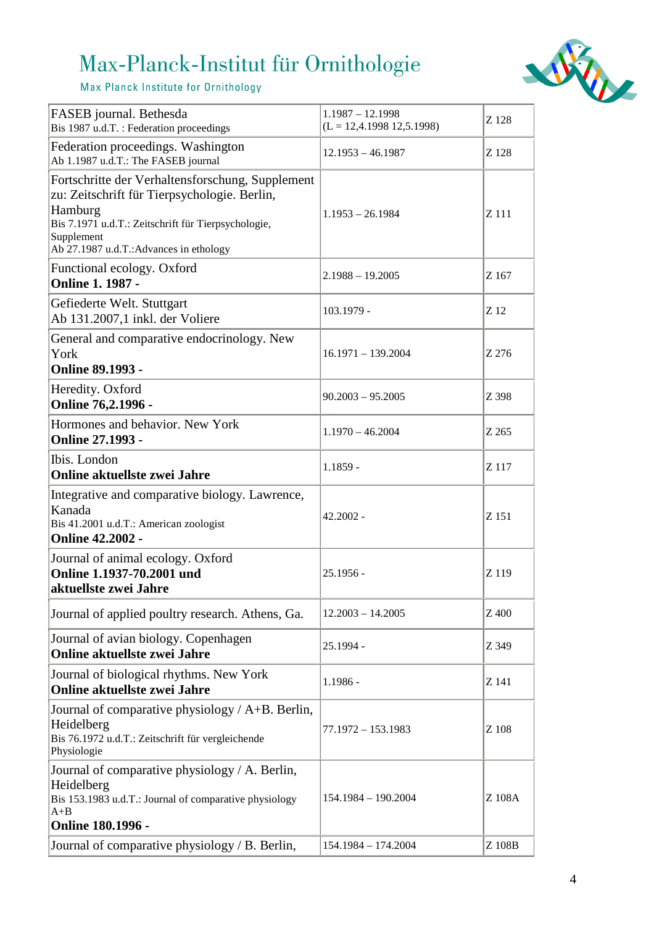

| FASEB journal. Bethesda<br>Bis 1987 u.d.T. : Federation proceedings                                                                                                                                                        | $1.1987 - 12.1998$<br>$(L = 12, 4.199812, 5.1998)$ | Z 128  |
|----------------------------------------------------------------------------------------------------------------------------------------------------------------------------------------------------------------------------|----------------------------------------------------|--------|
| Federation proceedings. Washington<br>Ab 1.1987 u.d.T.: The FASEB journal                                                                                                                                                  | $12.1953 - 46.1987$                                | Z 128  |
| Fortschritte der Verhaltensforschung, Supplement<br>zu: Zeitschrift für Tierpsychologie. Berlin,<br>Hamburg<br>Bis 7.1971 u.d.T.: Zeitschrift für Tierpsychologie,<br>Supplement<br>Ab 27.1987 u.d.T.:Advances in ethology | $1.1953 - 26.1984$                                 | Z 111  |
| Functional ecology. Oxford<br><b>Online 1. 1987 -</b>                                                                                                                                                                      | $2.1988 - 19.2005$                                 | Z 167  |
| Gefiederte Welt. Stuttgart<br>Ab 131.2007,1 inkl. der Voliere                                                                                                                                                              | 103.1979 -                                         | Z 12   |
| General and comparative endocrinology. New<br>York<br><b>Online 89.1993 -</b>                                                                                                                                              | $16.1971 - 139.2004$                               | Z 276  |
| Heredity. Oxford<br>Online 76,2.1996 -                                                                                                                                                                                     | $90.2003 - 95.2005$                                | Z 398  |
| Hormones and behavior. New York<br><b>Online 27.1993 -</b>                                                                                                                                                                 | $1.1970 - 46.2004$                                 | Z 265  |
| Ibis. London<br>Online aktuellste zwei Jahre                                                                                                                                                                               | $1.1859 -$                                         | Z 117  |
| Integrative and comparative biology. Lawrence,<br>Kanada<br>Bis 41.2001 u.d.T.: American zoologist<br><b>Online 42.2002 -</b>                                                                                              | $42.2002 -$                                        | Z 151  |
| Journal of animal ecology. Oxford<br>Online 1.1937-70.2001 und<br>aktuellste zwei Jahre                                                                                                                                    | $25.1956 -$                                        | Z 119  |
| Journal of applied poultry research. Athens, Ga.                                                                                                                                                                           | $12.2003 - 14.2005$                                | Z 400  |
| Journal of avian biology. Copenhagen<br>Online aktuellste zwei Jahre                                                                                                                                                       | 25.1994 -                                          | Z 349  |
| Journal of biological rhythms. New York<br>Online aktuellste zwei Jahre                                                                                                                                                    | $1.1986 -$                                         | Z 141  |
| Journal of comparative physiology $/$ A+B. Berlin,<br>Heidelberg<br>Bis 76.1972 u.d.T.: Zeitschrift für vergleichende<br>Physiologie                                                                                       | $77.1972 - 153.1983$                               | Z 108  |
| Journal of comparative physiology / A. Berlin,<br>Heidelberg<br>Bis 153.1983 u.d.T.: Journal of comparative physiology<br>$A + B$<br><b>Online 180.1996 -</b>                                                              | 154.1984 - 190.2004                                | Z 108A |
| Journal of comparative physiology / B. Berlin,                                                                                                                                                                             | 154.1984 - 174.2004                                | Z 108B |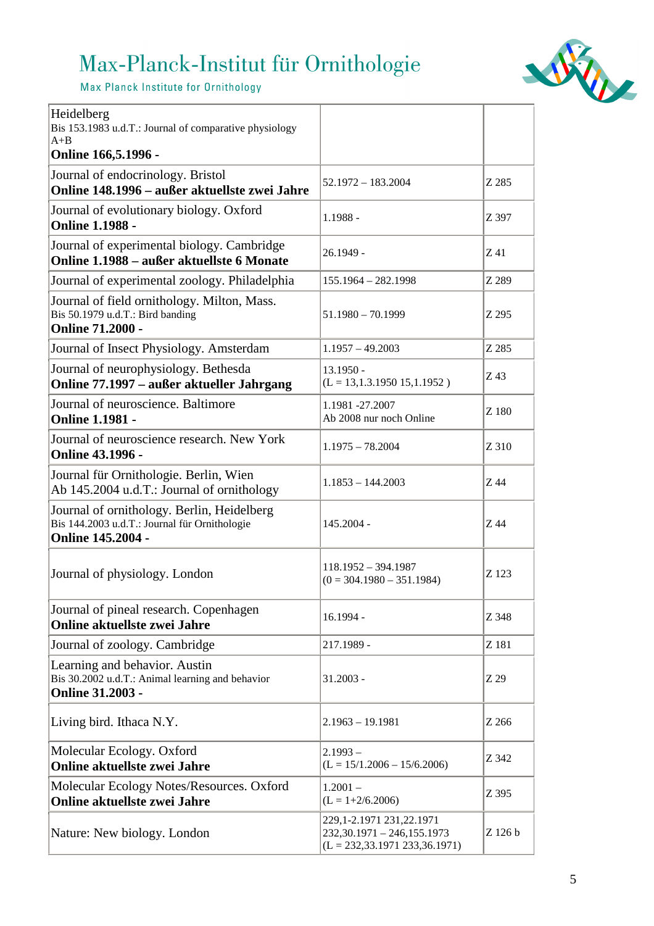

| Heidelberg<br>Bis 153.1983 u.d.T.: Journal of comparative physiology<br>$A + B$<br><b>Online 166,5.1996 -</b>           |                                                                                              |                 |
|-------------------------------------------------------------------------------------------------------------------------|----------------------------------------------------------------------------------------------|-----------------|
| Journal of endocrinology. Bristol<br>Online 148.1996 – außer aktuellste zwei Jahre                                      | $52.1972 - 183.2004$                                                                         | Z 285           |
| Journal of evolutionary biology. Oxford<br><b>Online 1.1988 -</b>                                                       | $1.1988 -$                                                                                   | Z 397           |
| Journal of experimental biology. Cambridge<br>Online 1.1988 – außer aktuellste 6 Monate                                 | $26.1949 -$                                                                                  | Z <sub>41</sub> |
| Journal of experimental zoology. Philadelphia                                                                           | $155.1964 - 282.1998$                                                                        | Z 289           |
| Journal of field ornithology. Milton, Mass.<br>Bis 50.1979 u.d.T.: Bird banding<br><b>Online 71.2000 -</b>              | $51.1980 - 70.1999$                                                                          | Z 295           |
| Journal of Insect Physiology. Amsterdam                                                                                 | $1.1957 - 49.2003$                                                                           | Z 285           |
| Journal of neurophysiology. Bethesda<br>Online 77.1997 – außer aktueller Jahrgang                                       | $13.1950 -$<br>$(L = 13, 1.3.195015, 1.1952)$                                                | Z 43            |
| Journal of neuroscience. Baltimore<br><b>Online 1.1981 -</b>                                                            | 1.1981 -27.2007<br>Ab 2008 nur noch Online                                                   | Z 180           |
| Journal of neuroscience research. New York<br><b>Online 43.1996 -</b>                                                   | $1.1975 - 78.2004$                                                                           | Z 310           |
| Journal für Ornithologie. Berlin, Wien<br>Ab 145.2004 u.d.T.: Journal of ornithology                                    | $1.1853 - 144.2003$                                                                          | Z 44            |
| Journal of ornithology. Berlin, Heidelberg<br>Bis 144.2003 u.d.T.: Journal für Ornithologie<br><b>Online 145.2004 -</b> | 145.2004 -                                                                                   | Z 44            |
| Journal of physiology. London                                                                                           | $118.1952 - 394.1987$<br>$(0 = 304.1980 - 351.1984)$                                         | Z 123           |
| Journal of pineal research. Copenhagen<br>Online aktuellste zwei Jahre                                                  | 16.1994 -                                                                                    | Z 348           |
| Journal of zoology. Cambridge                                                                                           | 217.1989 -                                                                                   | Z 181           |
| Learning and behavior. Austin<br>Bis 30.2002 u.d.T.: Animal learning and behavior<br><b>Online 31.2003 -</b>            | $31.2003 -$                                                                                  | Z 29            |
| Living bird. Ithaca N.Y.                                                                                                | $2.1963 - 19.1981$                                                                           | Z 266           |
| Molecular Ecology. Oxford<br>Online aktuellste zwei Jahre                                                               | $2.1993 -$<br>$(L = 15/1.2006 - 15/6.2006)$                                                  | Z 342           |
| Molecular Ecology Notes/Resources. Oxford<br>Online aktuellste zwei Jahre                                               | $1.2001 -$<br>$(L = 1+2/6.2006)$                                                             | Z 395           |
| Nature: New biology. London                                                                                             | 229, 1-2.1971 231, 22.1971<br>232,30.1971 - 246,155.1973<br>$(L = 232, 33.1971233, 36.1971)$ | Z 126 b         |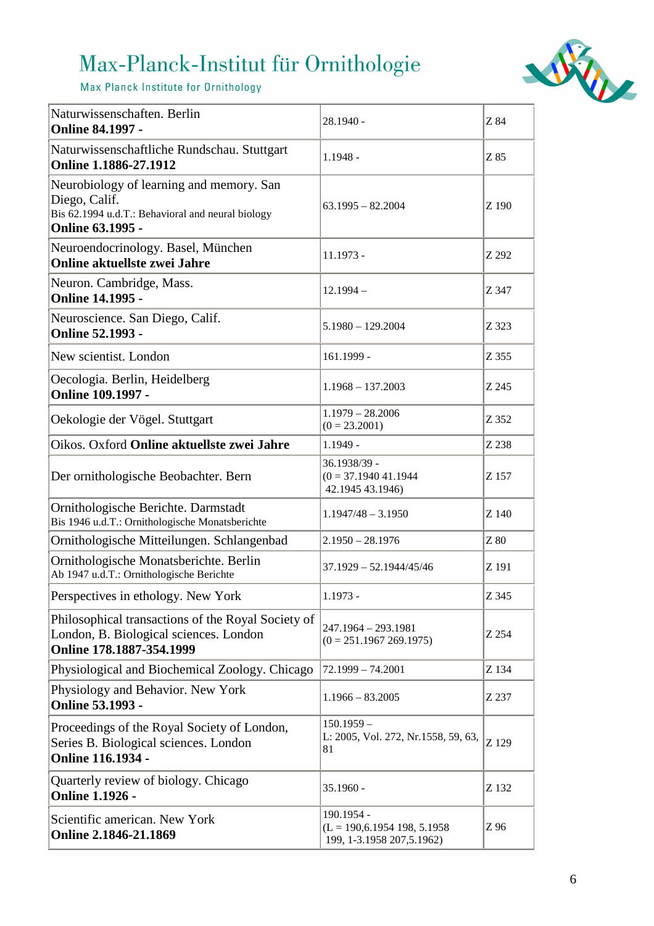

| Naturwissenschaften. Berlin<br><b>Online 84.1997 -</b>                                                                                    | $28.1940 -$                                                                | Z 84  |
|-------------------------------------------------------------------------------------------------------------------------------------------|----------------------------------------------------------------------------|-------|
| Naturwissenschaftliche Rundschau. Stuttgart<br><b>Online 1.1886-27.1912</b>                                                               | $1.1948 -$                                                                 | Z 85  |
| Neurobiology of learning and memory. San<br>Diego, Calif.<br>Bis 62.1994 u.d.T.: Behavioral and neural biology<br><b>Online 63.1995 -</b> | $63.1995 - 82.2004$                                                        | Z 190 |
| Neuroendocrinology. Basel, München<br>Online aktuellste zwei Jahre                                                                        | 11.1973 -                                                                  | Z 292 |
| Neuron. Cambridge, Mass.<br><b>Online 14.1995 -</b>                                                                                       | $12.1994 -$                                                                | Z 347 |
| Neuroscience. San Diego, Calif.<br>Online 52.1993 -                                                                                       | $5.1980 - 129.2004$                                                        | Z 323 |
| New scientist. London                                                                                                                     | 161.1999 -                                                                 | Z 355 |
| Oecologia. Berlin, Heidelberg<br><b>Online 109.1997 -</b>                                                                                 | $1.1968 - 137.2003$                                                        | Z 245 |
| Oekologie der Vögel. Stuttgart                                                                                                            | $1.1979 - 28.2006$<br>$(0 = 23.2001)$                                      | Z 352 |
| Oikos. Oxford Online aktuellste zwei Jahre                                                                                                | 1.1949 -                                                                   | Z 238 |
| Der ornithologische Beobachter. Bern                                                                                                      | 36.1938/39 -<br>$(0 = 37.194041.1944$<br>42.1945 43.1946)                  | Z 157 |
| Ornithologische Berichte. Darmstadt<br>Bis 1946 u.d.T.: Ornithologische Monatsberichte                                                    | $1.1947/48 - 3.1950$                                                       | Z 140 |
| Ornithologische Mitteilungen. Schlangenbad                                                                                                | $2.1950 - 28.1976$                                                         | Z 80  |
| Ornithologische Monatsberichte. Berlin<br>Ab 1947 u.d.T.: Ornithologische Berichte                                                        | $37.1929 - 52.1944/45/46$                                                  | Z 191 |
| Perspectives in ethology. New York                                                                                                        | $1.1973 -$                                                                 | Z 345 |
| Philosophical transactions of the Royal Society of<br>London, B. Biological sciences. London<br>Online 178.1887-354.1999                  | 247.1964 - 293.1981<br>$(0 = 251.1967269.1975)$                            | Z 254 |
| Physiological and Biochemical Zoology. Chicago                                                                                            | $72.1999 - 74.2001$                                                        | Z 134 |
| Physiology and Behavior. New York<br>Online 53.1993 -                                                                                     | $1.1966 - 83.2005$                                                         | Z 237 |
| Proceedings of the Royal Society of London,<br>Series B. Biological sciences. London<br><b>Online 116.1934 -</b>                          | $150.1959 -$<br>L: 2005, Vol. 272, Nr.1558, 59, 63,<br>81                  | Z 129 |
| Quarterly review of biology. Chicago<br><b>Online 1.1926 -</b>                                                                            | $35.1960 -$                                                                | Z 132 |
| Scientific american. New York<br><b>Online 2.1846-21.1869</b>                                                                             | 190.1954 -<br>$(L = 190, 6.1954 198, 5.1958)$<br>199, 1-3.1958 207,5.1962) | Z 96  |